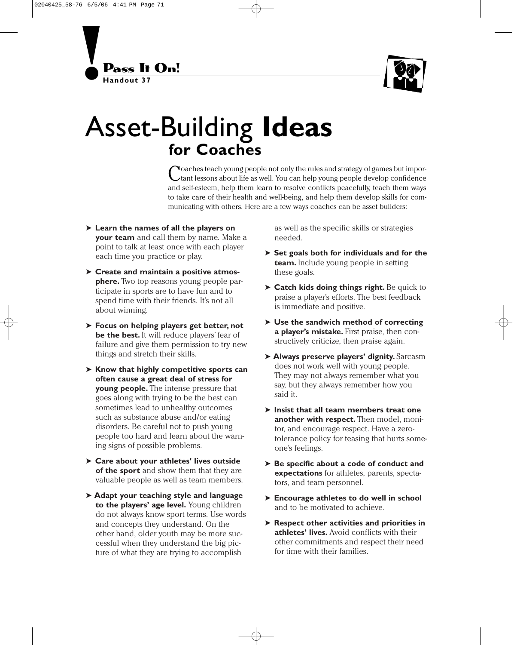



## Asset-Building **Ideas for Coaches**

Coaches teach young people not only the rules and strategy of games but impor-tant lessons about life as well. You can help young people develop confidence and self-esteem, help them learn to resolve conflicts peacefully, teach them ways to take care of their health and well-being, and help them develop skills for communicating with others. Here are a few ways coaches can be asset builders:

- ➤ **Learn the names of all the players on your team** and call them by name. Make a point to talk at least once with each player each time you practice or play.
- ➤ **Create and maintain a positive atmosphere.** Two top reasons young people participate in sports are to have fun and to spend time with their friends. It's not all about winning.
- ➤ **Focus on helping players get better, not** be the best. It will reduce players' fear of failure and give them permission to try new things and stretch their skills.
- ➤ **Know that highly competitive sports can often cause a great deal of stress for young people.** The intense pressure that goes along with trying to be the best can sometimes lead to unhealthy outcomes such as substance abuse and/or eating disorders. Be careful not to push young people too hard and learn about the warning signs of possible problems.
- ➤ **Care about your athletes' lives outside of the sport** and show them that they are valuable people as well as team members.
- ➤ **Adapt your teaching style and language to the players' age level.** Young children do not always know sport terms. Use words and concepts they understand. On the other hand, older youth may be more successful when they understand the big picture of what they are trying to accomplish

as well as the specific skills or strategies needed.

- ➤ **Set goals both for individuals and for the team.** Include young people in setting these goals.
- ➤ **Catch kids doing things right.** Be quick to praise a player's efforts. The best feedback is immediate and positive.
- ➤ **Use the sandwich method of correcting a player's mistake.** First praise, then constructively criticize, then praise again.
- ➤ **Always preserve players' dignity.** Sarcasm does not work well with young people. They may not always remember what you say, but they always remember how you said it.
- ➤ **Insist that all team members treat one another with respect.** Then model, monitor, and encourage respect. Have a zerotolerance policy for teasing that hurts someone's feelings.
- ➤ **Be specific about a code of conduct and expectations** for athletes, parents, spectators, and team personnel.
- ➤ **Encourage athletes to do well in school** and to be motivated to achieve.
- ➤ **Respect other activities and priorities in athletes' lives.** Avoid conflicts with their other commitments and respect their need for time with their families.